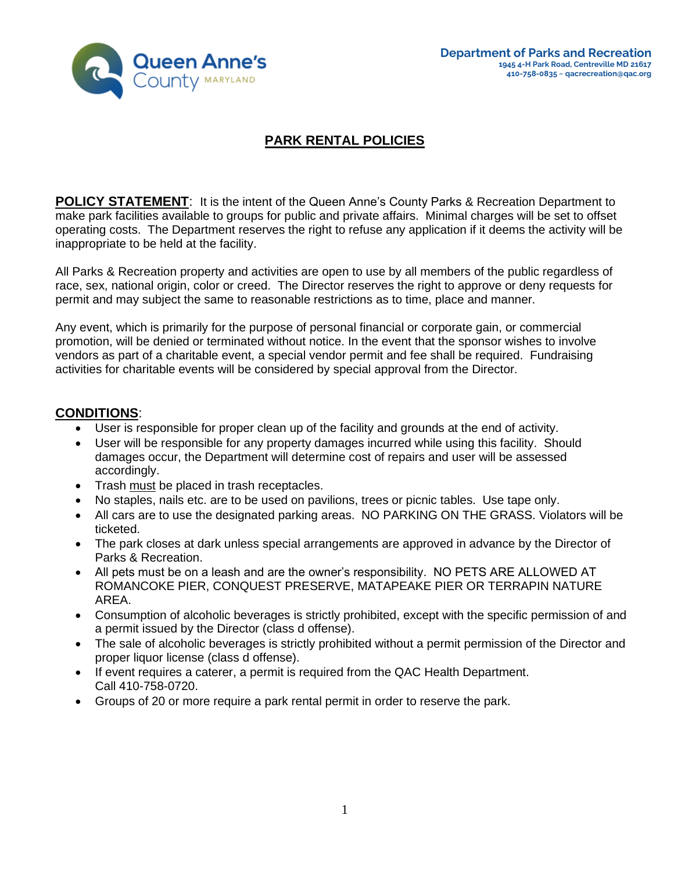

# **PARK RENTAL POLICIES**

**POLICY STATEMENT:** It is the intent of the Queen Anne's County Parks & Recreation Department to make park facilities available to groups for public and private affairs. Minimal charges will be set to offset operating costs. The Department reserves the right to refuse any application if it deems the activity will be inappropriate to be held at the facility.

All Parks & Recreation property and activities are open to use by all members of the public regardless of race, sex, national origin, color or creed. The Director reserves the right to approve or deny requests for permit and may subject the same to reasonable restrictions as to time, place and manner.

Any event, which is primarily for the purpose of personal financial or corporate gain, or commercial promotion, will be denied or terminated without notice. In the event that the sponsor wishes to involve vendors as part of a charitable event, a special vendor permit and fee shall be required. Fundraising activities for charitable events will be considered by special approval from the Director.

#### **CONDITIONS**:

- User is responsible for proper clean up of the facility and grounds at the end of activity.
- User will be responsible for any property damages incurred while using this facility. Should damages occur, the Department will determine cost of repairs and user will be assessed accordingly.
- Trash must be placed in trash receptacles.
- No staples, nails etc. are to be used on pavilions, trees or picnic tables. Use tape only.
- All cars are to use the designated parking areas. NO PARKING ON THE GRASS. Violators will be ticketed.
- The park closes at dark unless special arrangements are approved in advance by the Director of Parks & Recreation.
- All pets must be on a leash and are the owner's responsibility. NO PETS ARE ALLOWED AT ROMANCOKE PIER, CONQUEST PRESERVE, MATAPEAKE PIER OR TERRAPIN NATURE AREA.
- Consumption of alcoholic beverages is strictly prohibited, except with the specific permission of and a permit issued by the Director (class d offense).
- The sale of alcoholic beverages is strictly prohibited without a permit permission of the Director and proper liquor license (class d offense).
- If event requires a caterer, a permit is required from the QAC Health Department. Call 410-758-0720.
- Groups of 20 or more require a park rental permit in order to reserve the park.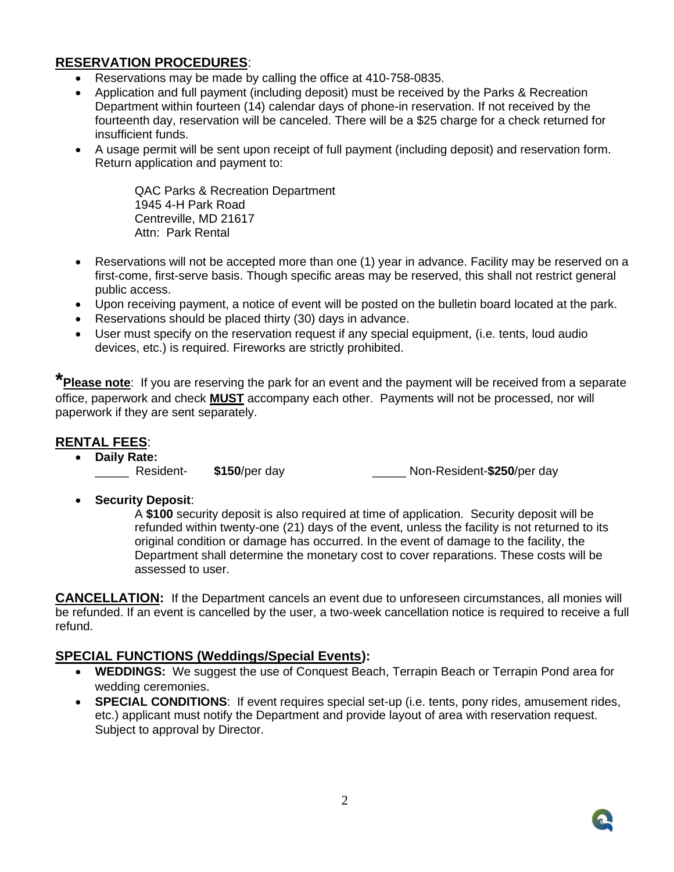## **RESERVATION PROCEDURES**:

- Reservations may be made by calling the office at 410-758-0835.
- Application and full payment (including deposit) must be received by the Parks & Recreation Department within fourteen (14) calendar days of phone-in reservation. If not received by the fourteenth day, reservation will be canceled. There will be a \$25 charge for a check returned for insufficient funds.
- A usage permit will be sent upon receipt of full payment (including deposit) and reservation form. Return application and payment to:

QAC Parks & Recreation Department 1945 4-H Park Road Centreville, MD 21617 Attn: Park Rental

- Reservations will not be accepted more than one (1) year in advance. Facility may be reserved on a first-come, first-serve basis. Though specific areas may be reserved, this shall not restrict general public access.
- Upon receiving payment, a notice of event will be posted on the bulletin board located at the park.
- Reservations should be placed thirty (30) days in advance.
- User must specify on the reservation request if any special equipment, (i.e. tents, loud audio devices, etc.) is required. Fireworks are strictly prohibited.

**\*Please note**: If you are reserving the park for an event and the payment will be received from a separate office, paperwork and check **MUST** accompany each other. Payments will not be processed, nor will paperwork if they are sent separately.

#### **RENTAL FEES**:

• **Daily Rate:**

\_\_\_\_\_ Resident- **\$150**/per day \_\_\_\_\_ Non-Resident-**\$250**/per day

• **Security Deposit**:

A **\$100** security deposit is also required at time of application. Security deposit will be refunded within twenty-one (21) days of the event, unless the facility is not returned to its original condition or damage has occurred. In the event of damage to the facility, the Department shall determine the monetary cost to cover reparations. These costs will be assessed to user.

**CANCELLATION:** If the Department cancels an event due to unforeseen circumstances, all monies will be refunded. If an event is cancelled by the user, a two-week cancellation notice is required to receive a full refund.

#### **SPECIAL FUNCTIONS (Weddings/Special Events):**

- **WEDDINGS:** We suggest the use of Conquest Beach, Terrapin Beach or Terrapin Pond area for wedding ceremonies.
- **SPECIAL CONDITIONS**: If event requires special set-up (i.e. tents, pony rides, amusement rides, etc.) applicant must notify the Department and provide layout of area with reservation request. Subject to approval by Director.